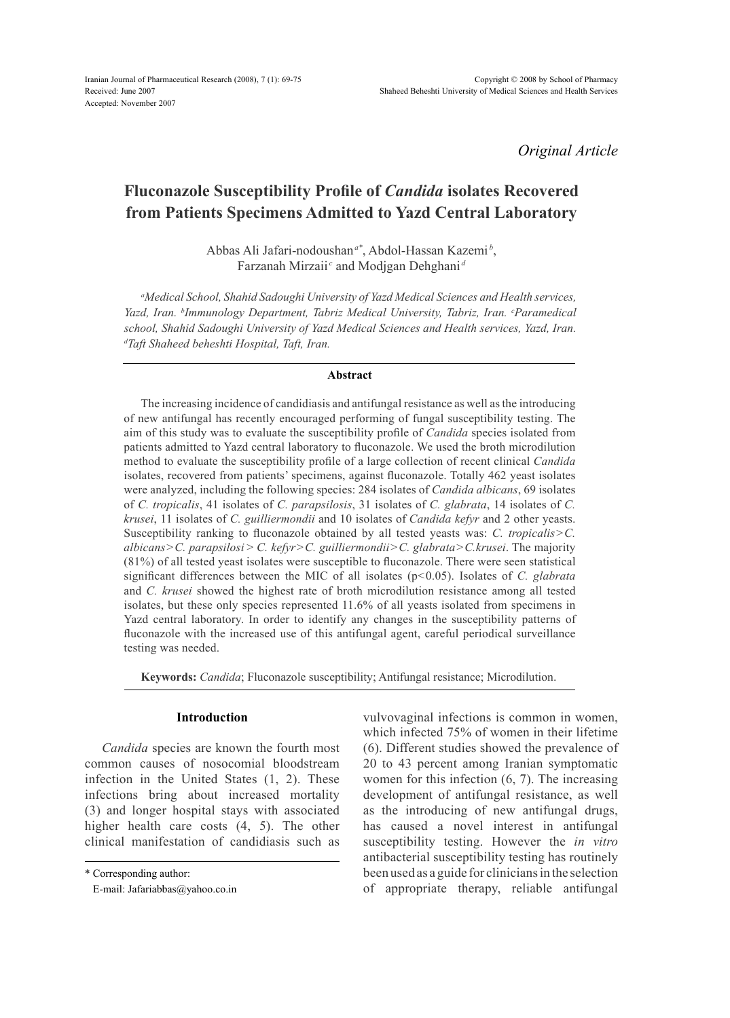*Original Article*

# **Fluconazole Susceptibility Profile of** *Candida* **isolates Recovered from Patients Specimens Admitted to Yazd Central Laboratory**

Abbas Ali Jafari-nodoushan*a\**, Abdol-Hassan Kazemi *<sup>b</sup>* , Farzanah Mirzaii<sup>c</sup> and Modjgan Dehghani<sup>a</sup>

*a Medical School, Shahid Sadoughi University of Yazd Medical Sciences and Health services, Yazd, Iran. b Immunology Department, Tabriz Medical University, Tabriz, Iran. c Paramedical school, Shahid Sadoughi University of Yazd Medical Sciences and Health services, Yazd, Iran. d Taft Shaheed beheshti Hospital, Taft, Iran.*

### **Abstract**

The increasing incidence of candidiasis and antifungal resistance as well as the introducing of new antifungal has recently encouraged performing of fungal susceptibility testing. The aim of this study was to evaluate the susceptibility profile of *Candida* species isolated from patients admitted to Yazd central laboratory to fluconazole. We used the broth microdilution method to evaluate the susceptibility profile of a large collection of recent clinical *Candida* isolates, recovered from patients' specimens, against fluconazole. Totally 462 yeast isolates were analyzed, including the following species: 284 isolates of *Candida albicans*, 69 isolates of *C. tropicalis*, 41 isolates of *C. parapsilosis*, 31 isolates of *C. glabrata*, 14 isolates of *C. krusei*, 11 isolates of *C. guilliermondii* and 10 isolates of *Candida kefyr* and 2 other yeasts. Susceptibility ranking to fluconazole obtained by all tested yeasts was: *C. tropicalis*>*C. albicans*>*C. parapsilosi* > *C. kefyr*>*C. guilliermondii*>*C. glabrata*>*C.krusei*. The majority (81%) of all tested yeast isolates were susceptible to fluconazole. There were seen statistical significant differences between the MIC of all isolates (p<0.05). Isolates of *C. glabrata* and *C. krusei* showed the highest rate of broth microdilution resistance among all tested isolates, but these only species represented 11.6% of all yeasts isolated from specimens in Yazd central laboratory. In order to identify any changes in the susceptibility patterns of fluconazole with the increased use of this antifungal agent, careful periodical surveillance testing was needed.

**Keywords:** *Candida*; Fluconazole susceptibility; Antifungal resistance; Microdilution.

# **Introduction**

*Candida* species are known the fourth most common causes of nosocomial bloodstream infection in the United States (1, 2). These infections bring about increased mortality (3) and longer hospital stays with associated higher health care costs (4, 5). The other clinical manifestation of candidiasis such as

\* Corresponding author:

vulvovaginal infections is common in women, which infected 75% of women in their lifetime (6). Different studies showed the prevalence of 20 to 43 percent among Iranian symptomatic women for this infection (6, 7). The increasing development of antifungal resistance, as well as the introducing of new antifungal drugs, has caused a novel interest in antifungal susceptibility testing. However the *in vitro* antibacterial susceptibility testing has routinely been used as a guide for clinicians in the selection of appropriate therapy, reliable antifungal

E-mail: Jafariabbas@yahoo.co.in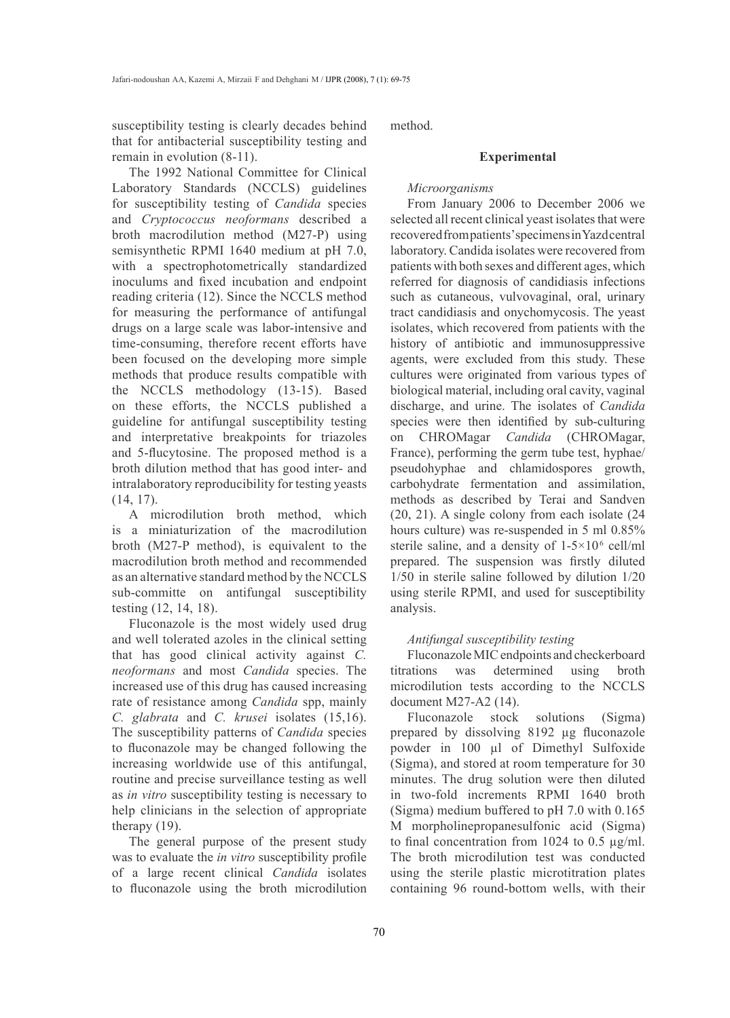susceptibility testing is clearly decades behind that for antibacterial susceptibility testing and remain in evolution (8-11).

The 1992 National Committee for Clinical Laboratory Standards (NCCLS) guidelines for susceptibility testing of *Candida* species and *Cryptococcus neoformans* described a broth macrodilution method (M27-P) using semisynthetic RPMI 1640 medium at pH 7.0, with a spectrophotometrically standardized inoculums and fixed incubation and endpoint reading criteria (12). Since the NCCLS method for measuring the performance of antifungal drugs on a large scale was labor-intensive and time-consuming, therefore recent efforts have been focused on the developing more simple methods that produce results compatible with the NCCLS methodology (13-15). Based on these efforts, the NCCLS published a guideline for antifungal susceptibility testing and interpretative breakpoints for triazoles and 5-flucytosine. The proposed method is a broth dilution method that has good inter- and intralaboratory reproducibility for testing yeasts (14, 17).

A microdilution broth method, which is a miniaturization of the macrodilution broth (M27-P method), is equivalent to the macrodilution broth method and recommended as an alternative standard method by the NCCLS sub-committe on antifungal susceptibility testing (12, 14, 18).

Fluconazole is the most widely used drug and well tolerated azoles in the clinical setting that has good clinical activity against *C. neoformans* and most *Candida* species. The increased use of this drug has caused increasing rate of resistance among *Candida* spp, mainly *C. glabrata* and *C. krusei* isolates (15,16). The susceptibility patterns of *Candida* species to fluconazole may be changed following the increasing worldwide use of this antifungal, routine and precise surveillance testing as well as *in vitro* susceptibility testing is necessary to help clinicians in the selection of appropriate therapy (19).

The general purpose of the present study was to evaluate the *in vitro* susceptibility profile of a large recent clinical *Candida* isolates to fluconazole using the broth microdilution method.

# **Experimental**

# *Microorganisms*

From January 2006 to December 2006 we selected all recent clinical yeast isolates that were recovered from patients' specimens in Yazd central laboratory. Candida isolates were recovered from patients with both sexes and different ages, which referred for diagnosis of candidiasis infections such as cutaneous, vulvovaginal, oral, urinary tract candidiasis and onychomycosis. The yeast isolates, which recovered from patients with the history of antibiotic and immunosuppressive agents, were excluded from this study. These cultures were originated from various types of biological material, including oral cavity, vaginal discharge, and urine. The isolates of *Candida* species were then identified by sub-culturing on CHROMagar *Candida* (CHROMagar, France), performing the germ tube test, hyphae/ pseudohyphae and chlamidospores growth, carbohydrate fermentation and assimilation, methods as described by Terai and Sandven (20, 21). A single colony from each isolate (24 hours culture) was re-suspended in 5 ml 0.85% sterile saline, and a density of  $1-5\times10^6$  cell/ml prepared. The suspension was firstly diluted 1/50 in sterile saline followed by dilution 1/20 using sterile RPMI, and used for susceptibility analysis.

# *Antifungal susceptibility testing*

FluconazoleMIC endpoints and checkerboard titrations was determined using broth microdilution tests according to the NCCLS document M27-A2 (14).

Fluconazole stock solutions (Sigma) prepared by dissolving 8192 µg fluconazole powder in 100 µl of Dimethyl Sulfoxide (Sigma), and stored at room temperature for 30 minutes. The drug solution were then diluted in two-fold increments RPMI 1640 broth (Sigma) medium buffered to pH 7.0 with 0.165 M morpholinepropanesulfonic acid (Sigma) to final concentration from 1024 to 0.5  $\mu$ g/ml. The broth microdilution test was conducted using the sterile plastic microtitration plates containing 96 round-bottom wells, with their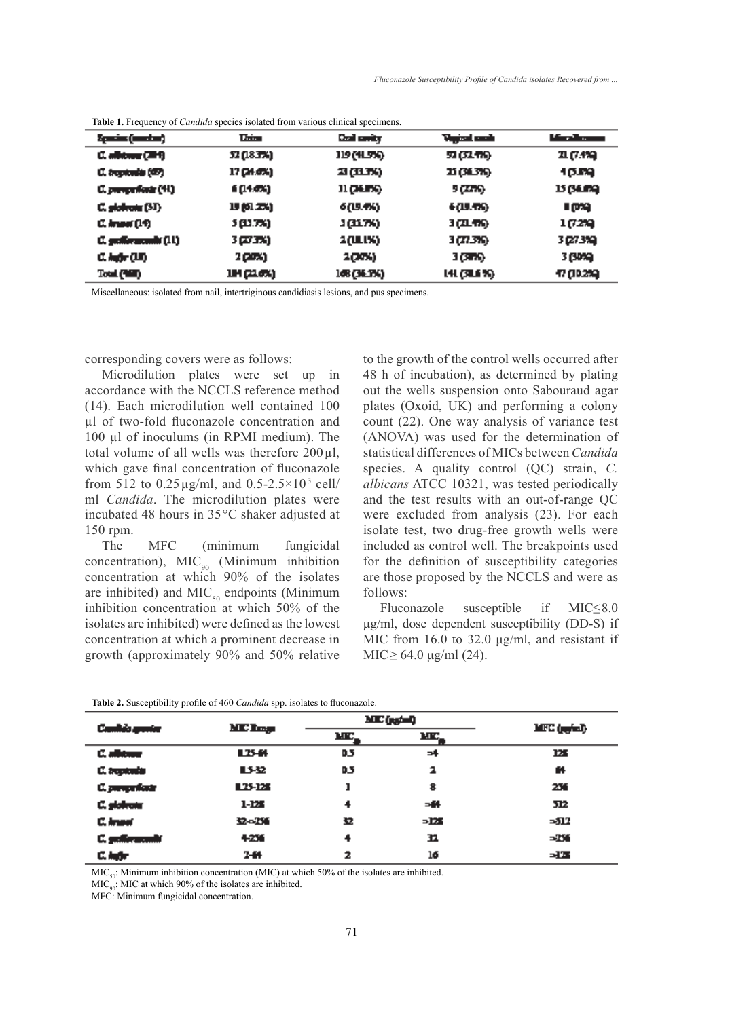| Spacial (market)         | <b>This</b> | Chail cavity        | Vojcel centr | <u> Mars Shown</u> |
|--------------------------|-------------|---------------------|--------------|--------------------|
| G. albitang (2019)       | 32 (18.7%)  | 119 (H.SK)          | 57 (51.TK)   | 21 (7.4%)          |
| C. tropicalis (GP)       | 17 (24.6%)  | 21 (11.74)          | 11 (31.3%)   | 10.59              |
| C. prosperflowin (44)    | 6 (14.0%)   | 11 ( <b>JALE</b> K) | 9 (275)      | 15 (SEPA)          |
| C. globrone (ST)         | 19 (61.2%)  | 6(19.4%)            | 6 (U. T.G.   | ראס ב              |
| C. Americ (14)           | 5 (U.TX)    | 1(KTX)              | 3 (21.75)    | 1 (72%)            |
| C. graffor accounts (11) | 3 (23 TX)   | <b>2(ULIX)</b>      | 3 (77.3%).   | 3 (27 3 %)         |
| C. Aufor (UI)            | 2 (20%)     | 2006)               | 3 (376).     | 3 (30%)            |
| Total (Will)             | IN (2.6%)   | 168 (36.1%)         | 141 (SLS %)  | 47 (10.2%)         |

|  |  |  |  |  |  |  |  | Table 1. Frequency of <i>Candida</i> species isolated from various clinical specimens. |
|--|--|--|--|--|--|--|--|----------------------------------------------------------------------------------------|
|--|--|--|--|--|--|--|--|----------------------------------------------------------------------------------------|

Miscellaneous: isolated from nail, intertriginous candidiasis lesions, and pus specimens.

corresponding covers were as follows:

Microdilution plates were set up in accordance with the NCCLS reference method (14). Each microdilution well contained 100 µl of two-fold fluconazole concentration and 100 µl of inoculums (in RPMI medium). The total volume of all wells was therefore  $200 \mu l$ , which gave final concentration of fluconazole from 512 to 0.25  $\mu$ g/ml, and 0.5-2.5×10<sup>3</sup> cell/ ml *Candida*. The microdilution plates were incubated 48 hours in 35°C shaker adjusted at 150 rpm.

The MFC (minimum fungicidal concentration),  $MIC_{90}$  (Minimum inhibition concentration at which 90% of the isolates are inhibited) and  $MIC<sub>50</sub>$  endpoints (Minimum inhibition concentration at which 50% of the isolates are inhibited) were defined as the lowest concentration at which a prominent decrease in growth (approximately 90% and 50% relative to the growth of the control wells occurred after 48 h of incubation), as determined by plating out the wells suspension onto Sabouraud agar plates (Oxoid, UK) and performing a colony count (22). One way analysis of variance test (ANOVA) was used for the determination of statistical differences of MICs between *Candida* species. A quality control (QC) strain, *C*. *albicans* ATCC 10321, was tested periodically and the test results with an out-of-range QC were excluded from analysis (23). For each isolate test, two drug-free growth wells were included as control well. The breakpoints used for the definition of susceptibility categories are those proposed by the NCCLS and were as follows:

Fluconazole susceptible if MIC≤8.0 μg/ml, dose dependent susceptibility (DD-S) if MIC from 16.0 to 32.0 μg/ml, and resistant if MIC  $\geq$  64.0 μg/ml (24).

| Cambio genter  | MC Log.  |     | ME (gg/ml) |             |
|----------------|----------|-----|------------|-------------|
|                |          | MC. | MC.        | MFC (grini) |
| C. albitmen    | L25-64   | 0.5 | -4         | ы           |
| C. trapicale   | LS-32    | D.S | 2          | 64          |
| C. purupakan   | 125-125  | ı   | 8          | 256         |
| C. globrota    | 1-125    | 4   | $-44$      | 512         |
| C. Imperi      | 32-256   | 32  | -125       | -512        |
| C. gedformende | 4256     | 4   | 32         | -256        |
| 医单位            | $2 - 64$ | 2   | 16         | -13         |

**Table 2.** Susceptibility profile of 460 *Candida* spp. isolates to fluconazole.

 $MIC<sub>50</sub>$ : Minimum inhibition concentration (MIC) at which 50% of the isolates are inhibited.

 $MIC<sub>90</sub>$ : MIC at which 90% of the isolates are inhibited.

MFC: Minimum fungicidal concentration.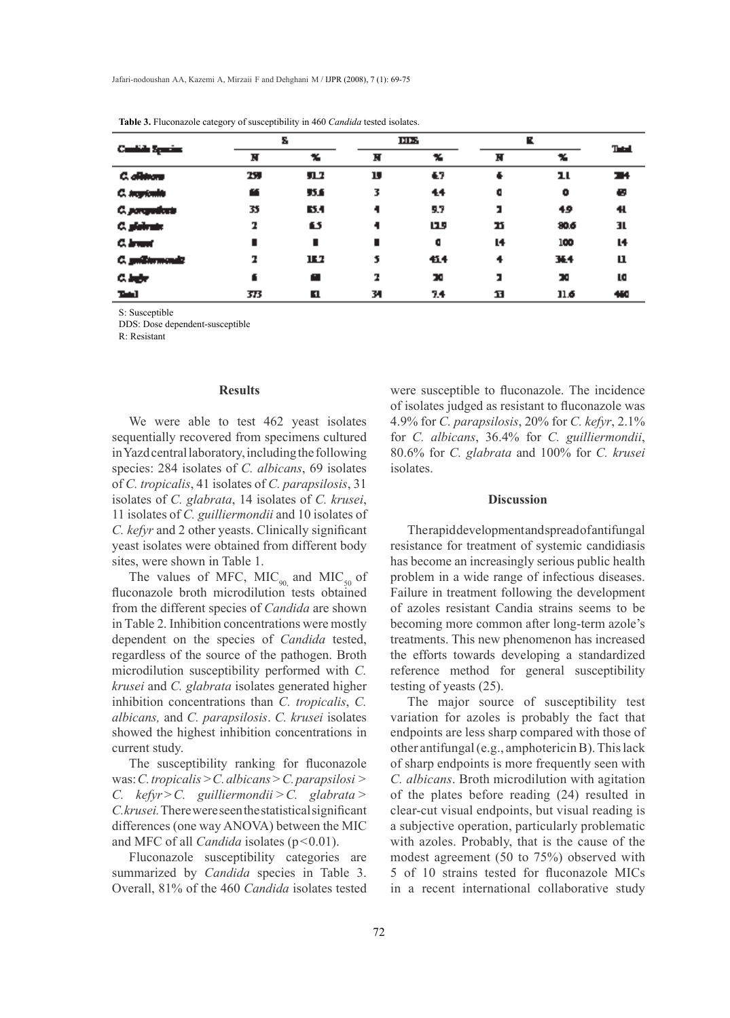| Contribution Spaces |     | Σ    |    | ШX  |    | ĸ    |              |
|---------------------|-----|------|----|-----|----|------|--------------|
|                     | N   | x    | N  | x   | N  | x    | <b>Tatal</b> |
| C. offences         | 25  | 91.2 | IJ | €7  | ÷  | ᅭ    | 34           |
| C. septembe         | œ   | 51   | 3  | 44  | ۰  | ۰    | Ð            |
| C. porquebate       | 35  | 63.4 |    | 9.7 | נ  | 49   | 41.          |
| C. plainting        | 2   | 65   |    | 115 | ŋ  | 80.6 | 31.          |
| C. Irvant           |     | п    |    | ۰   | L4 | 100  | L4           |
| C. guiltermonde     | 2   | 16.7 | 5  | 414 | 4  | 34.4 | п            |
| G. befor            | f   | œ    | 7  | œ   | נ  | x    | LG.          |
| Taki I              | 373 | п    | 34 | 7.4 | 11 | 11.6 | 460          |

**Table 3.** Fluconazole category of susceptibility in 460 *Candida* tested isolates.

S: Susceptible

DDS: Dose dependent-susceptible

R: Resistant

#### **Results**

We were able to test 462 yeast isolates sequentially recovered from specimens cultured in Yazd central laboratory, including the following species: 284 isolates of *C. albicans*, 69 isolates of *C. tropicalis*, 41 isolates of *C. parapsilosis*, 31 isolates of *C. glabrata*, 14 isolates of *C. krusei*, 11 isolates of *C. guilliermondii* and 10 isolates of *C. kefyr* and 2 other yeasts. Clinically significant yeast isolates were obtained from different body sites, were shown in Table 1.

The values of MFC,  $MIC<sub>90</sub>$  and  $MIC<sub>50</sub>$  of fluconazole broth microdilution tests obtained from the different species of *Candida* are shown in Table 2. Inhibition concentrations were mostly dependent on the species of *Candida* tested, regardless of the source of the pathogen. Broth microdilution susceptibility performed with *C. krusei* and *C. glabrata* isolates generated higher inhibition concentrations than *C. tropicalis*, *C. albicans,* and *C. parapsilosis*. *C. krusei* isolates showed the highest inhibition concentrations in current study.

The susceptibility ranking for fluconazole was: *C. tropicalis* >*C. albicans>C. parapsilosi > C. kefyr>C. guilliermondii >C. glabrata > C.krusei.* There were seen the statistical significant differences (one way ANOVA) between the MIC and MFC of all *Candida* isolates (p<0.01).

Fluconazole susceptibility categories are summarized by *Candida* species in Table 3. Overall, 81% of the 460 *Candida* isolates tested were susceptible to fluconazole. The incidence of isolates judged as resistant to fluconazole was 4.9% for *C. parapsilosis*, 20% for *C. kefyr*, 2.1% for *C. albicans*, 36.4% for *C. guilliermondii*, 80.6% for *C. glabrata* and 100% for *C. krusei* isolates.

# **Discussion**

The rapid development and spread of antifungal resistance for treatment of systemic candidiasis has become an increasingly serious public health problem in a wide range of infectious diseases. Failure in treatment following the development of azoles resistant Candia strains seems to be becoming more common after long-term azole's treatments. This new phenomenon has increased the efforts towards developing a standardized reference method for general susceptibility testing of yeasts (25).

The major source of susceptibility test variation for azoles is probably the fact that endpoints are less sharp compared with those of other antifungal (e.g., amphotericin B). This lack of sharp endpoints is more frequently seen with *C. albicans*. Broth microdilution with agitation of the plates before reading (24) resulted in clear-cut visual endpoints, but visual reading is a subjective operation, particularly problematic with azoles. Probably, that is the cause of the modest agreement (50 to 75%) observed with 5 of 10 strains tested for fluconazole MICs in a recent international collaborative study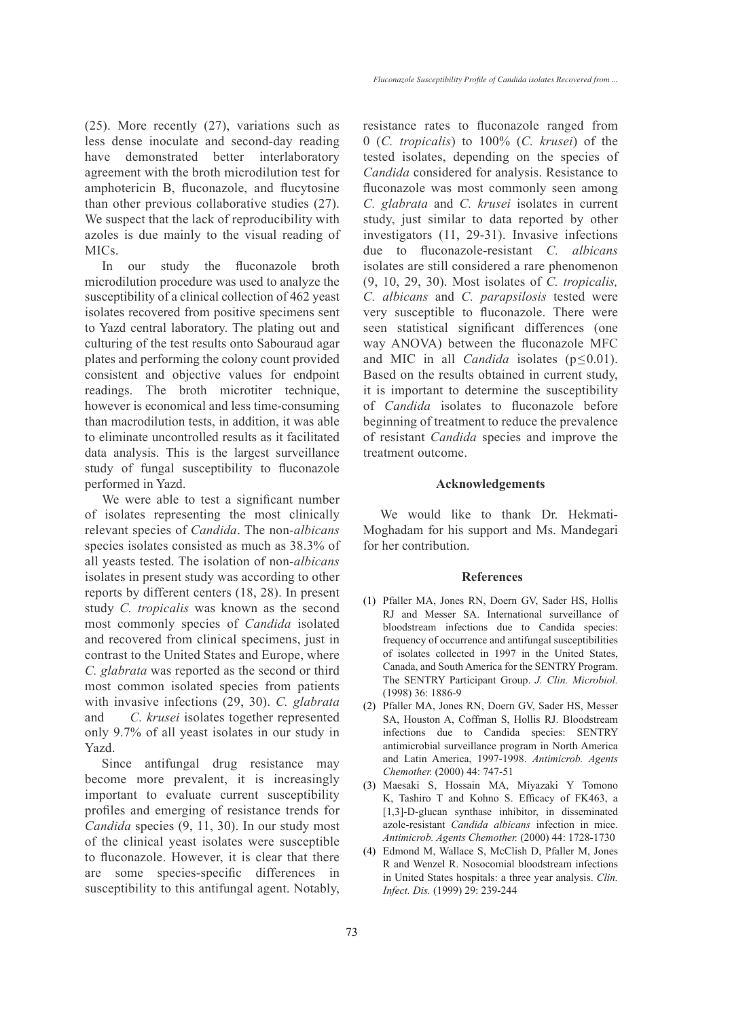(25). More recently (27), variations such as less dense inoculate and second-day reading have demonstrated better interlaboratory agreement with the broth microdilution test for amphotericin B, fluconazole, and flucytosine than other previous collaborative studies (27). We suspect that the lack of reproducibility with azoles is due mainly to the visual reading of MICs.

In our study the fluconazole broth microdilution procedure was used to analyze the susceptibility of a clinical collection of 462 yeast isolates recovered from positive specimens sent to Yazd central laboratory. The plating out and culturing of the test results onto Sabouraud agar plates and performing the colony count provided consistent and objective values for endpoint readings. The broth microtiter technique, however is economical and less time-consuming than macrodilution tests, in addition, it was able to eliminate uncontrolled results as it facilitated data analysis. This is the largest surveillance study of fungal susceptibility to fluconazole performed in Yazd.

We were able to test a significant number of isolates representing the most clinically relevant species of *Candida*. The non-*albicans* species isolates consisted as much as 38.3% of all yeasts tested. The isolation of non-*albicans* isolates in present study was according to other reports by different centers (18, 28). In present study *C. tropicalis* was known as the second most commonly species of *Candida* isolated and recovered from clinical specimens, just in contrast to the United States and Europe, where *C. glabrata* was reported as the second or third most common isolated species from patients with invasive infections (29, 30). *C. glabrata* and *C. krusei* isolates together represented only 9.7% of all yeast isolates in our study in Yazd.

Since antifungal drug resistance may become more prevalent, it is increasingly important to evaluate current susceptibility profiles and emerging of resistance trends for *Candida* species (9, 11, 30). In our study most of the clinical yeast isolates were susceptible to fluconazole. However, it is clear that there are some species-specific differences in susceptibility to this antifungal agent. Notably, resistance rates to fluconazole ranged from 0 (*C. tropicalis*) to 100% (*C. krusei*) of the tested isolates, depending on the species of *Candida* considered for analysis. Resistance to fluconazole was most commonly seen among *C. glabrata* and *C. krusei* isolates in current study, just similar to data reported by other investigators (11, 29-31). Invasive infections due to fluconazole-resistant *C. albicans* isolates are still considered a rare phenomenon (9, 10, 29, 30). Most isolates of *C. tropicalis, C. albicans* and *C. parapsilosis* tested were very susceptible to fluconazole. There were seen statistical significant differences (one way ANOVA) between the fluconazole MFC and MIC in all *Candida* isolates  $(p \le 0.01)$ . Based on the results obtained in current study, it is important to determine the susceptibility of *Candida* isolates to fluconazole before beginning of treatment to reduce the prevalence of resistant *Candida* species and improve the treatment outcome.

## **Acknowledgements**

We would like to thank Dr. Hekmati-Moghadam for his support and Ms. Mandegari for her contribution.

#### **References**

- Pfaller MA, Jones RN, Doern GV, Sader HS, Hollis (1) RJ and Messer SA. International surveillance of bloodstream infections due to Candida species: frequency of occurrence and antifungal susceptibilities of isolates collected in 1997 in the United States, Canada, and South America for the SENTRY Program. The SENTRY Participant Group. *J. Clin. Microbiol.* (1998) 36: 1886-9
- Pfaller MA, Jones RN, Doern GV, Sader HS, Messer (2) SA, Houston A, Coffman S, Hollis RJ. Bloodstream infections due to Candida species: SENTRY antimicrobial surveillance program in North America and Latin America, 1997-1998. *Antimicrob. Agents Chemother.* (2000) 44: 747-51
- Maesaki S, Hossain MA, Miyazaki Y Tomono (3) K, Tashiro T and Kohno S. Efficacy of FK463, a [1,3]-D-glucan synthase inhibitor, in disseminated azole-resistant *Candida albicans* infection in mice. *Antimicrob. Agents Chemother.* (2000) 44: 1728-1730
- Edmond M, Wallace S, McClish D, Pfaller M, Jones (4) R and Wenzel R. Nosocomial bloodstream infections in United States hospitals: a three year analysis. *Clin. Infect. Dis.* (1999) 29: 239-244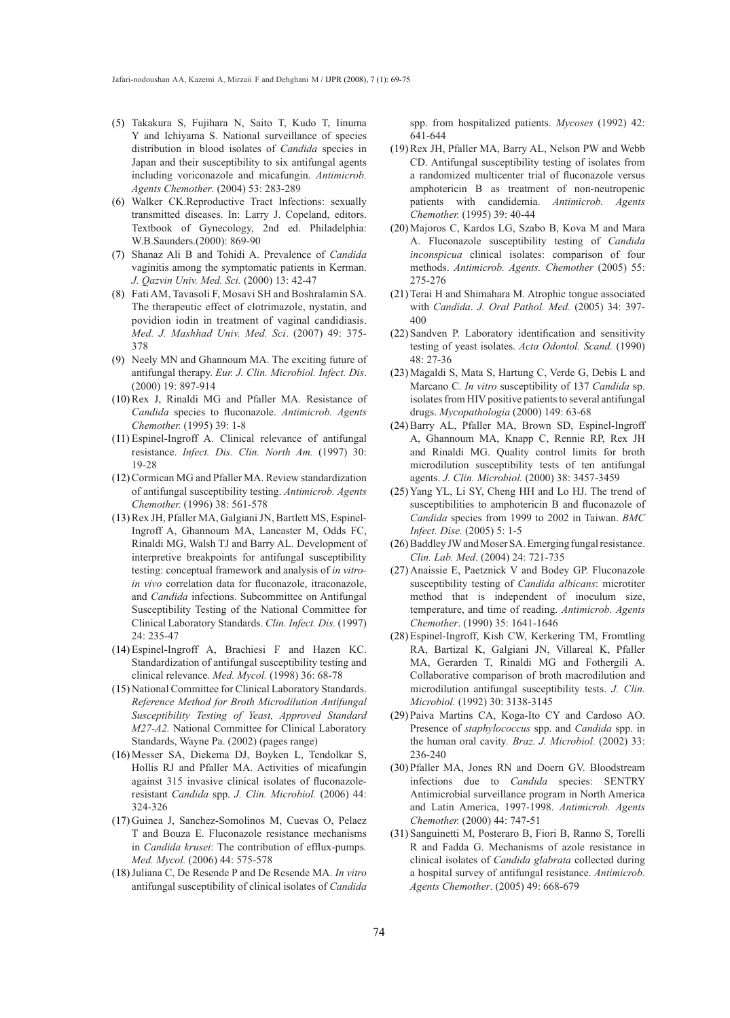- Takakura S, Fujihara N, Saito T, Kudo T, Iinuma (5) Y and Ichiyama S. National surveillance of species distribution in blood isolates of *Candida* species in Japan and their susceptibility to six antifungal agents including voriconazole and micafungin. *Antimicrob. Agents Chemother*. (2004) 53: 283-289
- Walker CK.Reproductive Tract Infections: sexually (6) transmitted diseases. In: Larry J. Copeland, editors. Textbook of Gynecology, 2nd ed. Philadelphia: W.B.Saunders.(2000): 869-90
- Shanaz Ali B and Tohidi A. Prevalence of *Candida* (7) vaginitis among the symptomatic patients in Kerman. *J. Qazvin Univ. Med. Sci.* (2000) 13: 42-47
- Fati AM, Tavasoli F, Mosavi SH and Boshralamin SA. (8) The therapeutic effect of clotrimazole, nystatin, and povidion iodin in treatment of vaginal candidiasis. *Med. J. Mashhad Univ. Med. Sci*. (2007) 49: 375- 378
- (9) Neely MN and Ghannoum MA. The exciting future of antifungal therapy. *Eur. J. Clin. Microbiol. Infect. Dis*. (2000) 19: 897-914
- $(10)$  Rex J, Rinaldi MG and Pfaller MA. Resistance of *Candida* species to fluconazole. *Antimicrob. Agents Chemother.* (1995) 39: 1-8
- Espinel-Ingroff A. Clinical relevance of antifungal (11) resistance. *Infect. Dis. Clin. North Am.* (1997) 30: 19-28
- (12) Cormican MG and Pfaller MA. Review standardization of antifungal susceptibility testing. *Antimicrob. Agents Chemother.* (1996) 38: 561-578
- (13) Rex JH, Pfaller MA, Galgiani JN, Bartlett MS, Espinel-Ingroff A, Ghannoum MA, Lancaster M, Odds FC, Rinaldi MG, Walsh TJ and Barry AL. Development of interpretive breakpoints for antifungal susceptibility testing: conceptual framework and analysis of *in vitroin vivo* correlation data for fluconazole, itraconazole, and *Candida* infections. Subcommittee on Antifungal Susceptibility Testing of the National Committee for Clinical Laboratory Standards. *Clin. Infect. Dis.* (1997) 24: 235-47
- Espinel-Ingroff A, Brachiesi F and Hazen KC. (14) Standardization of antifungal susceptibility testing and clinical relevance. *Med. Mycol.* (1998) 36: 68-78
- (15) National Committee for Clinical Laboratory Standards. *Reference Method for Broth Microdilution Antifungal Susceptibility Testing of Yeast, Approved Standard M27-A2.* National Committee for Clinical Laboratory Standards, Wayne Pa. (2002) (pages range)
- (16) Messer SA, Diekema DJ, Boyken L, Tendolkar S, Hollis RJ and Pfaller MA. Activities of micafungin against 315 invasive clinical isolates of fluconazoleresistant *Candida* spp. *J. Clin. Microbiol.* (2006) 44: 324-326
- (17) Guinea J, Sanchez-Somolinos M, Cuevas O, Pelaez T and Bouza E. Fluconazole resistance mechanisms in *Candida krusei*: The contribution of efflux-pumps*. Med. Mycol.* (2006) 44: 575-578
- Juliana C, De Resende P and De Resende MA. *In vitro* (18) antifungal susceptibility of clinical isolates of *Candida*

spp. from hospitalized patients. *Mycoses* (1992) 42: 641-644

- (19) Rex JH, Pfaller MA, Barry AL, Nelson PW and Webb CD. Antifungal susceptibility testing of isolates from a randomized multicenter trial of fluconazole versus amphotericin B as treatment of non-neutropenic patients with candidemia. *Antimicrob. Agents Chemother.* (1995) 39: 40-44
- Majoros C, Kardos LG, Szabo B, Kova M and Mara (20) A. Fluconazole susceptibility testing of *Candida inconspicua* clinical isolates: comparison of four methods. *Antimicrob. Agents. Chemother* (2005) 55: 275-276
- $(21)$  Terai H and Shimahara M. Atrophic tongue associated with *Candida*. *J. Oral Pathol. Med.* (2005) 34: 397- 400
- (22) Sandven P. Laboratory identification and sensitivity testing of yeast isolates. *Acta Odontol. Scand.* (1990) 48: 27-36
- Magaldi S, Mata S, Hartung C, Verde G, Debis L and (23) Marcano C. *In vitro* susceptibility of 137 *Candida* sp. isolates from HIV positive patients to several antifungal drugs. *Mycopathologia* (2000) 149: 63-68
- (24) Barry AL, Pfaller MA, Brown SD, Espinel-Ingroff A, Ghannoum MA, Knapp C, Rennie RP, Rex JH and Rinaldi MG. Quality control limits for broth microdilution susceptibility tests of ten antifungal agents. *J. Clin. Microbiol.* (2000) 38: 3457-3459
- (25) Yang YL, Li SY, Cheng HH and Lo HJ. The trend of susceptibilities to amphotericin B and fluconazole of *Candida* species from 1999 to 2002 in Taiwan. *BMC Infect. Dise.* (2005) 5: 1-5
- (26) Baddley JW and Moser SA. Emerging fungal resistance. *Clin. Lab. Med*. (2004) 24: 721-735
- (27) Anaissie E, Paetznick V and Bodey GP. Fluconazole susceptibility testing of *Candida albicans*: microtiter method that is independent of inoculum size, temperature, and time of reading. *Antimicrob. Agents Chemother*. (1990) 35: 1641-1646
- (28) Espinel-Ingroff, Kish CW, Kerkering TM, Fromtling RA, Bartizal K, Galgiani JN, Villareal K, Pfaller MA, Gerarden T, Rinaldi MG and Fothergili A. Collaborative comparison of broth macrodilution and microdilution antifungal susceptibility tests. *J. Clin. Microbiol.* (1992) 30: 3138-3145
- (29) Paiva Martins CA, Koga-Ito CY and Cardoso AO. Presence of *staphylococcus* spp. and *Candida* spp. in the human oral cavity*. Braz. J. Microbiol.* (2002) 33: 236-240
- (30) Pfaller MA, Jones RN and Doern GV. Bloodstream infections due to *Candida* species: SENTRY Antimicrobial surveillance program in North America and Latin America, 1997-1998. *Antimicrob. Agents Chemother.* (2000) 44: 747-51
- (31) Sanguinetti M, Posteraro B, Fiori B, Ranno S, Torelli R and Fadda G. Mechanisms of azole resistance in clinical isolates of *Candida glabrata* collected during a hospital survey of antifungal resistance. *Antimicrob. Agents Chemother*. (2005) 49: 668-679